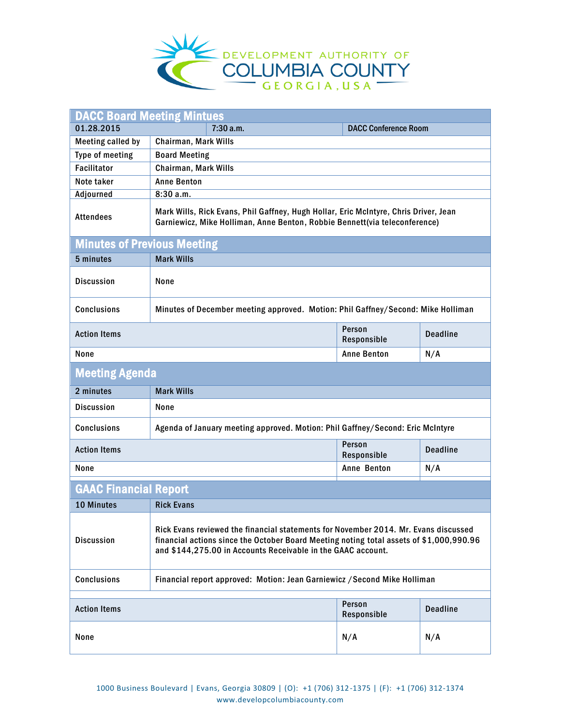

| <b>DACC Board Meeting Mintues</b>                                                                      |                                                                                                                                                                                                                                                |                       |                 |  |
|--------------------------------------------------------------------------------------------------------|------------------------------------------------------------------------------------------------------------------------------------------------------------------------------------------------------------------------------------------------|-----------------------|-----------------|--|
| 01.28.2015                                                                                             | 7:30 a.m.<br><b>DACC Conference Room</b>                                                                                                                                                                                                       |                       |                 |  |
| <b>Meeting called by</b>                                                                               | Chairman, Mark Wills                                                                                                                                                                                                                           |                       |                 |  |
| Type of meeting                                                                                        | <b>Board Meeting</b>                                                                                                                                                                                                                           |                       |                 |  |
| <b>Facilitator</b>                                                                                     | Chairman, Mark Wills                                                                                                                                                                                                                           |                       |                 |  |
| Note taker                                                                                             | <b>Anne Benton</b>                                                                                                                                                                                                                             |                       |                 |  |
| Adjourned                                                                                              | 8:30a.m.                                                                                                                                                                                                                                       |                       |                 |  |
| <b>Attendees</b>                                                                                       | Mark Wills, Rick Evans, Phil Gaffney, Hugh Hollar, Eric McIntyre, Chris Driver, Jean<br>Garniewicz, Mike Holliman, Anne Benton, Robbie Bennett(via teleconference)                                                                             |                       |                 |  |
| <b>Minutes of Previous Meeting</b>                                                                     |                                                                                                                                                                                                                                                |                       |                 |  |
| 5 minutes                                                                                              | <b>Mark Wills</b>                                                                                                                                                                                                                              |                       |                 |  |
| <b>Discussion</b>                                                                                      | None                                                                                                                                                                                                                                           |                       |                 |  |
| <b>Conclusions</b><br>Minutes of December meeting approved. Motion: Phil Gaffney/Second: Mike Holliman |                                                                                                                                                                                                                                                |                       |                 |  |
| <b>Action Items</b>                                                                                    |                                                                                                                                                                                                                                                | Person<br>Responsible | <b>Deadline</b> |  |
| None                                                                                                   |                                                                                                                                                                                                                                                | <b>Anne Benton</b>    | N/A             |  |
| <b>Meeting Agenda</b>                                                                                  |                                                                                                                                                                                                                                                |                       |                 |  |
| 2 minutes                                                                                              | <b>Mark Wills</b>                                                                                                                                                                                                                              |                       |                 |  |
| <b>Discussion</b>                                                                                      | None                                                                                                                                                                                                                                           |                       |                 |  |
| <b>Conclusions</b>                                                                                     | Agenda of January meeting approved. Motion: Phil Gaffney/Second: Eric McIntyre                                                                                                                                                                 |                       |                 |  |
| <b>Action Items</b>                                                                                    |                                                                                                                                                                                                                                                | Person<br>Responsible | <b>Deadline</b> |  |
| None                                                                                                   |                                                                                                                                                                                                                                                | Anne Benton           | N/A             |  |
| <b>GAAC Financial Report</b>                                                                           |                                                                                                                                                                                                                                                |                       |                 |  |
| <b>10 Minutes</b>                                                                                      | <b>Rick Evans</b>                                                                                                                                                                                                                              |                       |                 |  |
| <b>Discussion</b>                                                                                      | Rick Evans reviewed the financial statements for November 2014. Mr. Evans discussed<br>financial actions since the October Board Meeting noting total assets of \$1,000,990.96<br>and \$144,275.00 in Accounts Receivable in the GAAC account. |                       |                 |  |
| <b>Conclusions</b>                                                                                     | Financial report approved: Motion: Jean Garniewicz / Second Mike Holliman                                                                                                                                                                      |                       |                 |  |
| Person                                                                                                 |                                                                                                                                                                                                                                                |                       |                 |  |
| <b>Action Items</b>                                                                                    |                                                                                                                                                                                                                                                | Responsible           | <b>Deadline</b> |  |
| None                                                                                                   |                                                                                                                                                                                                                                                | N/A                   | N/A             |  |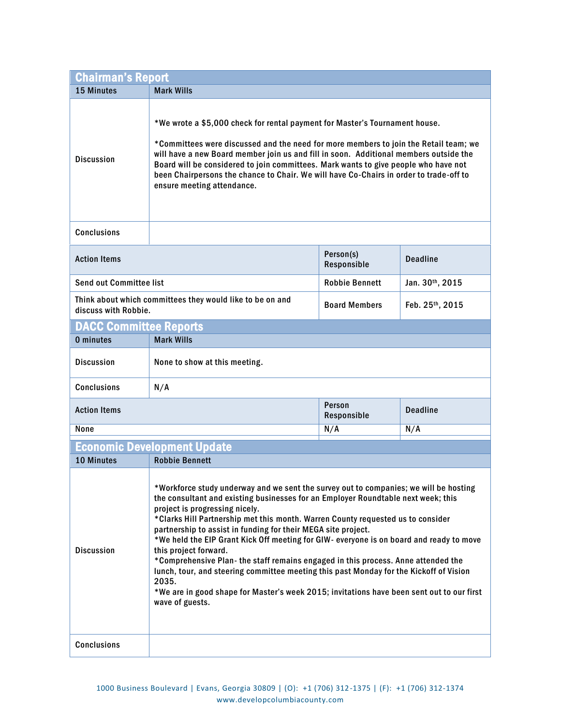| <b>Chairman's Report</b>                                                          |                                                                                                                                                                                                                                                                                                                                                                                                                                                                                                                                                                                                                                                                                                                                                                                              |                          |                 |  |
|-----------------------------------------------------------------------------------|----------------------------------------------------------------------------------------------------------------------------------------------------------------------------------------------------------------------------------------------------------------------------------------------------------------------------------------------------------------------------------------------------------------------------------------------------------------------------------------------------------------------------------------------------------------------------------------------------------------------------------------------------------------------------------------------------------------------------------------------------------------------------------------------|--------------------------|-----------------|--|
| 15 Minutes                                                                        | <b>Mark Wills</b>                                                                                                                                                                                                                                                                                                                                                                                                                                                                                                                                                                                                                                                                                                                                                                            |                          |                 |  |
| <b>Discussion</b>                                                                 | *We wrote a \$5,000 check for rental payment for Master's Tournament house.<br>*Committees were discussed and the need for more members to join the Retail team; we<br>will have a new Board member join us and fill in soon. Additional members outside the<br>Board will be considered to join committees. Mark wants to give people who have not<br>been Chairpersons the chance to Chair. We will have Co-Chairs in order to trade-off to<br>ensure meeting attendance.                                                                                                                                                                                                                                                                                                                  |                          |                 |  |
| <b>Conclusions</b>                                                                |                                                                                                                                                                                                                                                                                                                                                                                                                                                                                                                                                                                                                                                                                                                                                                                              |                          |                 |  |
| <b>Action Items</b>                                                               |                                                                                                                                                                                                                                                                                                                                                                                                                                                                                                                                                                                                                                                                                                                                                                                              | Person(s)<br>Responsible | <b>Deadline</b> |  |
| <b>Send out Committee list</b>                                                    |                                                                                                                                                                                                                                                                                                                                                                                                                                                                                                                                                                                                                                                                                                                                                                                              | <b>Robbie Bennett</b>    | Jan. 30th, 2015 |  |
| Think about which committees they would like to be on and<br>discuss with Robbie. |                                                                                                                                                                                                                                                                                                                                                                                                                                                                                                                                                                                                                                                                                                                                                                                              | <b>Board Members</b>     | Feb. 25th, 2015 |  |
| <b>DACC Committee Reports</b>                                                     |                                                                                                                                                                                                                                                                                                                                                                                                                                                                                                                                                                                                                                                                                                                                                                                              |                          |                 |  |
| 0 minutes                                                                         | <b>Mark Wills</b>                                                                                                                                                                                                                                                                                                                                                                                                                                                                                                                                                                                                                                                                                                                                                                            |                          |                 |  |
| <b>Discussion</b>                                                                 | None to show at this meeting.                                                                                                                                                                                                                                                                                                                                                                                                                                                                                                                                                                                                                                                                                                                                                                |                          |                 |  |
| <b>Conclusions</b>                                                                | N/A                                                                                                                                                                                                                                                                                                                                                                                                                                                                                                                                                                                                                                                                                                                                                                                          |                          |                 |  |
| <b>Action Items</b>                                                               |                                                                                                                                                                                                                                                                                                                                                                                                                                                                                                                                                                                                                                                                                                                                                                                              | Person<br>Responsible    | <b>Deadline</b> |  |
| None                                                                              |                                                                                                                                                                                                                                                                                                                                                                                                                                                                                                                                                                                                                                                                                                                                                                                              | N/A                      | N/A             |  |
|                                                                                   | <b>Economic Development Update</b>                                                                                                                                                                                                                                                                                                                                                                                                                                                                                                                                                                                                                                                                                                                                                           |                          |                 |  |
| <b>10 Minutes</b>                                                                 | <b>Robbie Bennett</b>                                                                                                                                                                                                                                                                                                                                                                                                                                                                                                                                                                                                                                                                                                                                                                        |                          |                 |  |
| <b>Discussion</b>                                                                 | *Workforce study underway and we sent the survey out to companies; we will be hosting<br>the consultant and existing businesses for an Employer Roundtable next week; this<br>project is progressing nicely.<br>*Clarks Hill Partnership met this month. Warren County requested us to consider<br>partnership to assist in funding for their MEGA site project.<br>*We held the EIP Grant Kick Off meeting for GIW- everyone is on board and ready to move<br>this project forward.<br>*Comprehensive Plan- the staff remains engaged in this process. Anne attended the<br>lunch, tour, and steering committee meeting this past Monday for the Kickoff of Vision<br>2035.<br>*We are in good shape for Master's week 2015; invitations have been sent out to our first<br>wave of guests. |                          |                 |  |
| <b>Conclusions</b>                                                                |                                                                                                                                                                                                                                                                                                                                                                                                                                                                                                                                                                                                                                                                                                                                                                                              |                          |                 |  |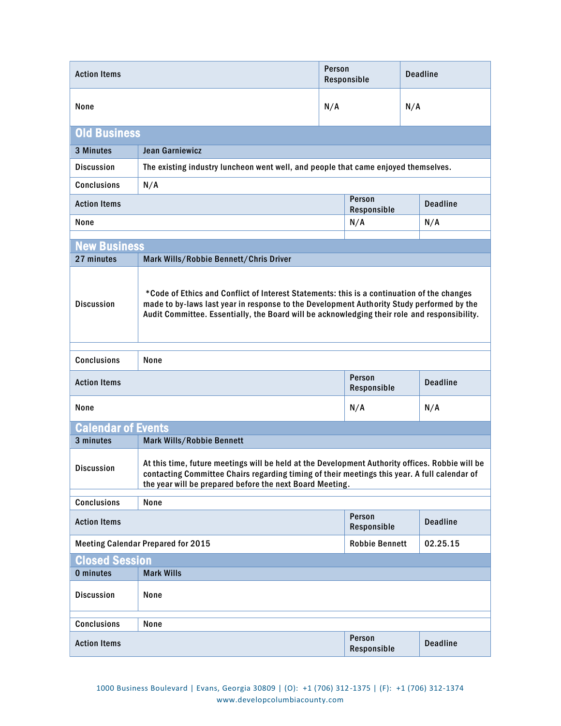| <b>Action Items</b>                                                                                                                                                                                                                                                                                          |                                                                                                                                                                                                                                                             | Person<br>Responsible |                       | <b>Deadline</b> |                 |
|--------------------------------------------------------------------------------------------------------------------------------------------------------------------------------------------------------------------------------------------------------------------------------------------------------------|-------------------------------------------------------------------------------------------------------------------------------------------------------------------------------------------------------------------------------------------------------------|-----------------------|-----------------------|-----------------|-----------------|
| None                                                                                                                                                                                                                                                                                                         |                                                                                                                                                                                                                                                             | N/A                   |                       | N/A             |                 |
| <b>Old Business</b>                                                                                                                                                                                                                                                                                          |                                                                                                                                                                                                                                                             |                       |                       |                 |                 |
| 3 Minutes                                                                                                                                                                                                                                                                                                    | Jean Garniewicz                                                                                                                                                                                                                                             |                       |                       |                 |                 |
| <b>Discussion</b>                                                                                                                                                                                                                                                                                            | The existing industry luncheon went well, and people that came enjoyed themselves.                                                                                                                                                                          |                       |                       |                 |                 |
| <b>Conclusions</b>                                                                                                                                                                                                                                                                                           | N/A                                                                                                                                                                                                                                                         |                       |                       |                 |                 |
| <b>Action Items</b>                                                                                                                                                                                                                                                                                          | Person<br>Responsible                                                                                                                                                                                                                                       |                       |                       | <b>Deadline</b> |                 |
| None                                                                                                                                                                                                                                                                                                         |                                                                                                                                                                                                                                                             |                       | N/A                   |                 | N/A             |
| <b>New Business</b>                                                                                                                                                                                                                                                                                          |                                                                                                                                                                                                                                                             |                       |                       |                 |                 |
| 27 minutes                                                                                                                                                                                                                                                                                                   | Mark Wills/Robbie Bennett/Chris Driver                                                                                                                                                                                                                      |                       |                       |                 |                 |
| *Code of Ethics and Conflict of Interest Statements: this is a continuation of the changes<br>made to by-laws last year in response to the Development Authority Study performed by the<br><b>Discussion</b><br>Audit Committee. Essentially, the Board will be acknowledging their role and responsibility. |                                                                                                                                                                                                                                                             |                       |                       |                 |                 |
| <b>Conclusions</b>                                                                                                                                                                                                                                                                                           | None                                                                                                                                                                                                                                                        |                       |                       |                 |                 |
| <b>Action Items</b>                                                                                                                                                                                                                                                                                          |                                                                                                                                                                                                                                                             |                       | Person<br>Responsible |                 | <b>Deadline</b> |
| None                                                                                                                                                                                                                                                                                                         |                                                                                                                                                                                                                                                             |                       | N/A                   |                 | N/A             |
| <b>Calendar of Events</b>                                                                                                                                                                                                                                                                                    |                                                                                                                                                                                                                                                             |                       |                       |                 |                 |
| 3 minutes                                                                                                                                                                                                                                                                                                    | Mark Wills/Robbie Bennett                                                                                                                                                                                                                                   |                       |                       |                 |                 |
| <b>Discussion</b>                                                                                                                                                                                                                                                                                            | At this time, future meetings will be held at the Development Authority offices. Robbie will be<br>contacting Committee Chairs regarding timing of their meetings this year. A full calendar of<br>the year will be prepared before the next Board Meeting. |                       |                       |                 |                 |
| <b>Conclusions</b>                                                                                                                                                                                                                                                                                           | None                                                                                                                                                                                                                                                        |                       |                       |                 |                 |
| <b>Action Items</b>                                                                                                                                                                                                                                                                                          |                                                                                                                                                                                                                                                             |                       | Person<br>Responsible |                 | <b>Deadline</b> |
| <b>Meeting Calendar Prepared for 2015</b>                                                                                                                                                                                                                                                                    |                                                                                                                                                                                                                                                             |                       | <b>Robbie Bennett</b> |                 | 02.25.15        |
| <b>Closed Session</b>                                                                                                                                                                                                                                                                                        |                                                                                                                                                                                                                                                             |                       |                       |                 |                 |
| 0 minutes                                                                                                                                                                                                                                                                                                    | <b>Mark Wills</b>                                                                                                                                                                                                                                           |                       |                       |                 |                 |
| <b>Discussion</b>                                                                                                                                                                                                                                                                                            | None                                                                                                                                                                                                                                                        |                       |                       |                 |                 |
| <b>Conclusions</b>                                                                                                                                                                                                                                                                                           | None                                                                                                                                                                                                                                                        |                       |                       |                 |                 |
| <b>Action Items</b>                                                                                                                                                                                                                                                                                          |                                                                                                                                                                                                                                                             |                       | Person<br>Responsible |                 | <b>Deadline</b> |